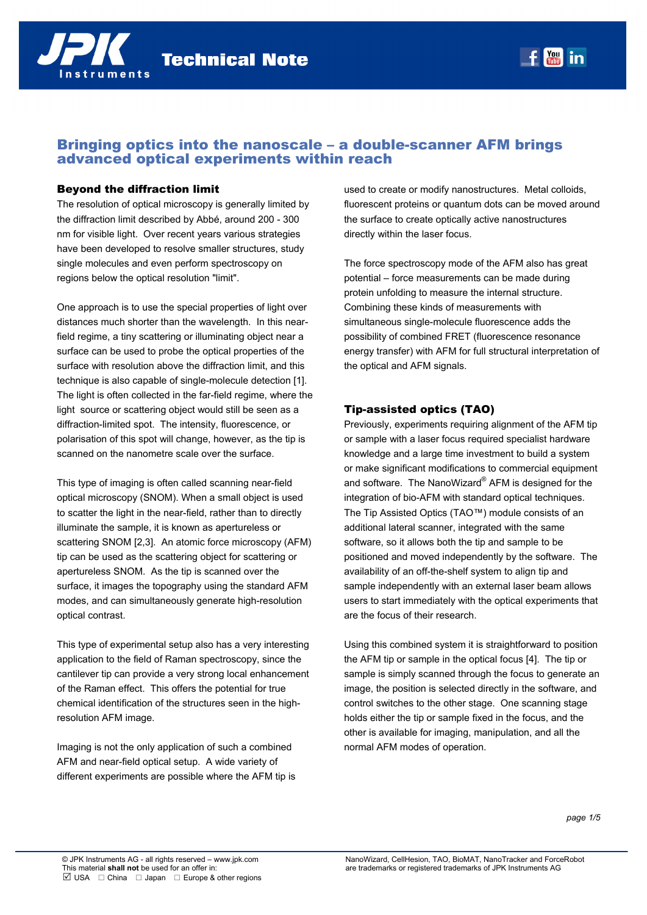# Bringing optics into the nanoscale – a double-scanner AFM brings advanced optical experiments within reach

#### Beyond the diffraction limit

The resolution of optical microscopy is generally limited by the diffraction limit described by Abbé, around 200 - 300 nm for visible light. Over recent years various strategies have been developed to resolve smaller structures, study single molecules and even perform spectroscopy on regions below the optical resolution "limit".

One approach is to use the special properties of light over distances much shorter than the wavelength. In this nearfield regime, a tiny scattering or illuminating object near a surface can be used to probe the optical properties of the surface with resolution above the diffraction limit, and this technique is also capable of single-molecule detection [1]. The light is often collected in the far-field regime, where the light source or scattering object would still be seen as a diffraction-limited spot. The intensity, fluorescence, or polarisation of this spot will change, however, as the tip is scanned on the nanometre scale over the surface.

This type of imaging is often called scanning near-field optical microscopy (SNOM). When a small object is used to scatter the light in the near-field, rather than to directly illuminate the sample, it is known as apertureless or scattering SNOM [2,3]. An atomic force microscopy (AFM) tip can be used as the scattering object for scattering or apertureless SNOM. As the tip is scanned over the surface, it images the topography using the standard AFM modes, and can simultaneously generate high-resolution optical contrast.

This type of experimental setup also has a very interesting application to the field of Raman spectroscopy, since the cantilever tip can provide a very strong local enhancement of the Raman effect. This offers the potential for true chemical identification of the structures seen in the highresolution AFM image.

Imaging is not the only application of such a combined AFM and near-field optical setup. A wide variety of different experiments are possible where the AFM tip is used to create or modify nanostructures. Metal colloids, fluorescent proteins or quantum dots can be moved around the surface to create optically active nanostructures directly within the laser focus.

**You** in

The force spectroscopy mode of the AFM also has great potential – force measurements can be made during protein unfolding to measure the internal structure. Combining these kinds of measurements with simultaneous single-molecule fluorescence adds the possibility of combined FRET (fluorescence resonance energy transfer) with AFM for full structural interpretation of the optical and AFM signals.

## Tip-assisted optics (TAO)

Previously, experiments requiring alignment of the AFM tip or sample with a laser focus required specialist hardware knowledge and a large time investment to build a system or make significant modifications to commercial equipment and software. The NanoWizard® AFM is designed for the integration of bio-AFM with standard optical techniques. The Tip Assisted Optics (TAO™) module consists of an additional lateral scanner, integrated with the same software, so it allows both the tip and sample to be positioned and moved independently by the software. The availability of an off-the-shelf system to align tip and sample independently with an external laser beam allows users to start immediately with the optical experiments that are the focus of their research.

Using this combined system it is straightforward to position the AFM tip or sample in the optical focus [4]. The tip or sample is simply scanned through the focus to generate an image, the position is selected directly in the software, and control switches to the other stage. One scanning stage holds either the tip or sample fixed in the focus, and the other is available for imaging, manipulation, and all the normal AFM modes of operation.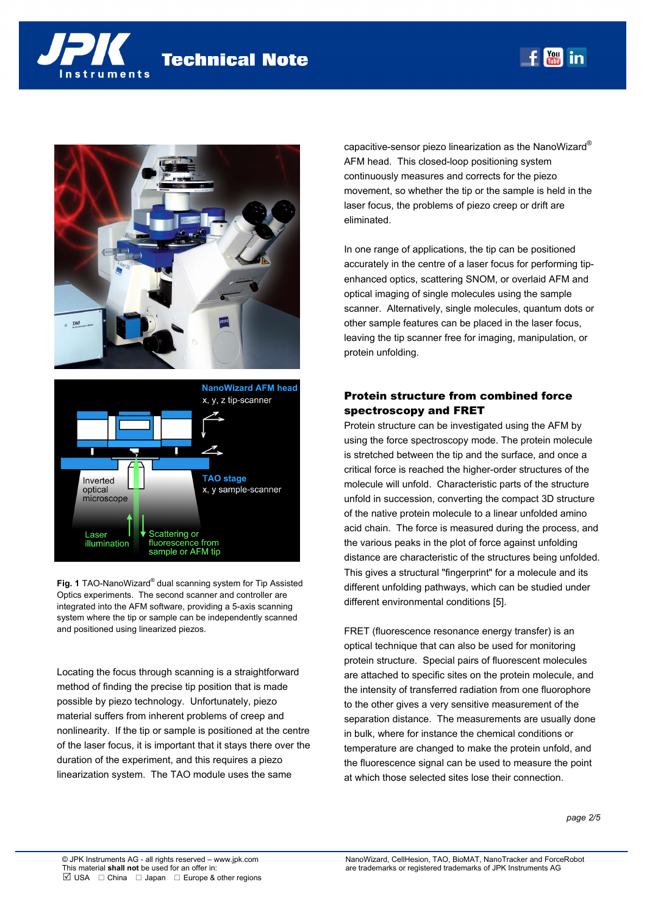





**Fig. 1** TAO-NanoWizard® dual scanning system for Tip Assisted Optics experiments. The second scanner and controller are integrated into the AFM software, providing a 5-axis scanning system where the tip or sample can be independently scanned and positioned using linearized piezos.

Locating the focus through scanning is a straightforward method of finding the precise tip position that is made possible by piezo technology. Unfortunately, piezo material suffers from inherent problems of creep and nonlinearity. If the tip or sample is positioned at the centre of the laser focus, it is important that it stays there over the duration of the experiment, and this requires a piezo linearization system. The TAO module uses the same

capacitive-sensor piezo linearization as the NanoWizard® AFM head. This closed-loop positioning system continuously measures and corrects for the piezo movement, so whether the tip or the sample is held in the laser focus, the problems of piezo creep or drift are eliminated.

 $f$   $\frac{You}{true}$  in

In one range of applications, the tip can be positioned accurately in the centre of a laser focus for performing tipenhanced optics, scattering SNOM, or overlaid AFM and optical imaging of single molecules using the sample scanner. Alternatively, single molecules, quantum dots or other sample features can be placed in the laser focus, leaving the tip scanner free for imaging, manipulation, or protein unfolding.

## Protein structure from combined force spectroscopy and FRET

Protein structure can be investigated using the AFM by using the force spectroscopy mode. The protein molecule is stretched between the tip and the surface, and once a critical force is reached the higher-order structures of the molecule will unfold. Characteristic parts of the structure unfold in succession, converting the compact 3D structure of the native protein molecule to a linear unfolded amino acid chain. The force is measured during the process, and the various peaks in the plot of force against unfolding distance are characteristic of the structures being unfolded. This gives a structural "fingerprint" for a molecule and its different unfolding pathways, which can be studied under different environmental conditions [5].

FRET (fluorescence resonance energy transfer) is an optical technique that can also be used for monitoring protein structure. Special pairs of fluorescent molecules are attached to specific sites on the protein molecule, and the intensity of transferred radiation from one fluorophore to the other gives a very sensitive measurement of the separation distance. The measurements are usually done in bulk, where for instance the chemical conditions or temperature are changed to make the protein unfold, and the fluorescence signal can be used to measure the point at which those selected sites lose their connection.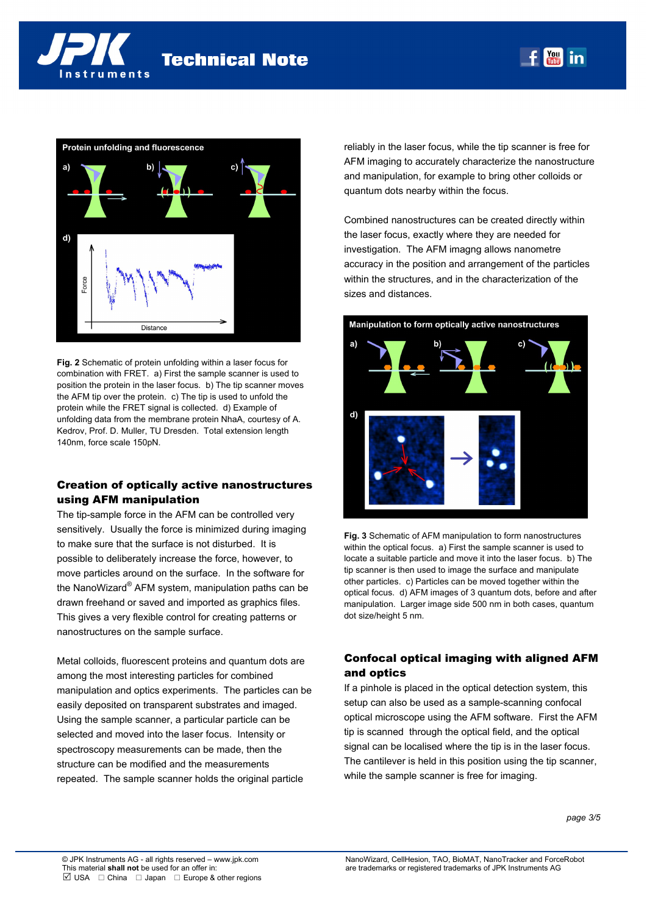



**Fig. 2** Schematic of protein unfolding within a laser focus for combination with FRET. a) First the sample scanner is used to position the protein in the laser focus. b) The tip scanner moves the AFM tip over the protein. c) The tip is used to unfold the protein while the FRET signal is collected. d) Example of unfolding data from the membrane protein NhaA, courtesy of A. Kedrov, Prof. D. Muller, TU Dresden. Total extension length 140nm, force scale 150pN.

## Creation of optically active nanostructures using AFM manipulation

The tip-sample force in the AFM can be controlled very sensitively. Usually the force is minimized during imaging to make sure that the surface is not disturbed. It is possible to deliberately increase the force, however, to move particles around on the surface. In the software for the NanoWizard® AFM system, manipulation paths can be drawn freehand or saved and imported as graphics files. This gives a very flexible control for creating patterns or nanostructures on the sample surface.

Metal colloids, fluorescent proteins and quantum dots are among the most interesting particles for combined manipulation and optics experiments. The particles can be easily deposited on transparent substrates and imaged. Using the sample scanner, a particular particle can be selected and moved into the laser focus. Intensity or spectroscopy measurements can be made, then the structure can be modified and the measurements repeated. The sample scanner holds the original particle

reliably in the laser focus, while the tip scanner is free for AFM imaging to accurately characterize the nanostructure and manipulation, for example to bring other colloids or quantum dots nearby within the focus.

 $f$   $\frac{Y_{\text{ou}}}{T_{\text{ub}}}$  in

Combined nanostructures can be created directly within the laser focus, exactly where they are needed for investigation. The AFM imagng allows nanometre accuracy in the position and arrangement of the particles within the structures, and in the characterization of the sizes and distances.



**Fig. 3** Schematic of AFM manipulation to form nanostructures within the optical focus. a) First the sample scanner is used to locate a suitable particle and move it into the laser focus. b) The tip scanner is then used to image the surface and manipulate other particles. c) Particles can be moved together within the optical focus. d) AFM images of 3 quantum dots, before and after manipulation. Larger image side 500 nm in both cases, quantum dot size/height 5 nm.

# Confocal optical imaging with aligned AFM and optics

If a pinhole is placed in the optical detection system, this setup can also be used as a sample-scanning confocal optical microscope using the AFM software. First the AFM tip is scanned through the optical field, and the optical signal can be localised where the tip is in the laser focus. The cantilever is held in this position using the tip scanner, while the sample scanner is free for imaging.

*page 3/5*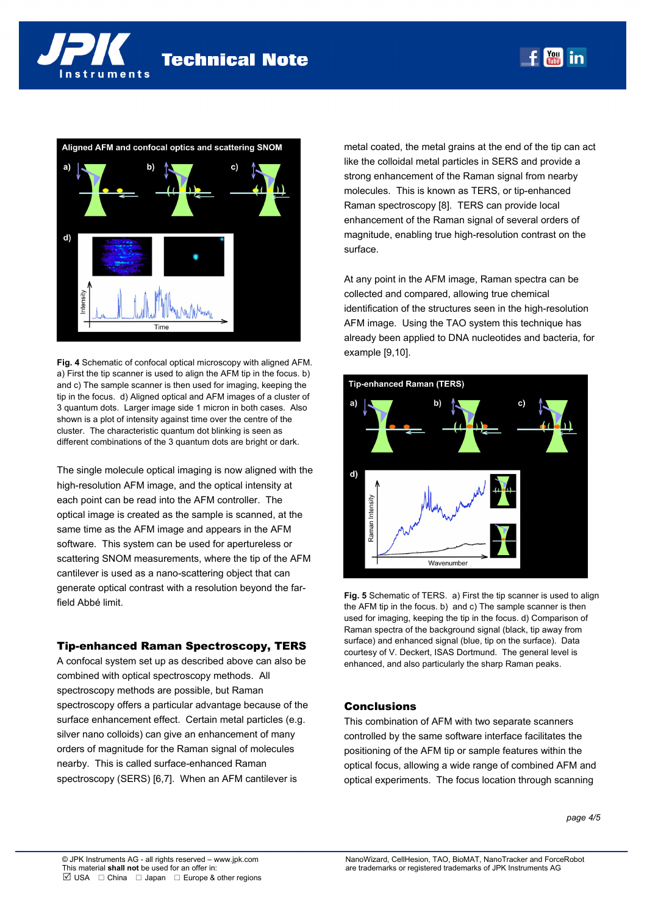



**Fig. 4** Schematic of confocal optical microscopy with aligned AFM. a) First the tip scanner is used to align the AFM tip in the focus. b) and c) The sample scanner is then used for imaging, keeping the tip in the focus. d) Aligned optical and AFM images of a cluster of 3 quantum dots. Larger image side 1 micron in both cases. Also shown is a plot of intensity against time over the centre of the cluster. The characteristic quantum dot blinking is seen as different combinations of the 3 quantum dots are bright or dark.

The single molecule optical imaging is now aligned with the high-resolution AFM image, and the optical intensity at each point can be read into the AFM controller. The optical image is created as the sample is scanned, at the same time as the AFM image and appears in the AFM software. This system can be used for apertureless or scattering SNOM measurements, where the tip of the AFM cantilever is used as a nano-scattering object that can generate optical contrast with a resolution beyond the farfield Abbé limit.

## Tip-enhanced Raman Spectroscopy, TERS

A confocal system set up as described above can also be combined with optical spectroscopy methods. All spectroscopy methods are possible, but Raman spectroscopy offers a particular advantage because of the surface enhancement effect. Certain metal particles (e.g. silver nano colloids) can give an enhancement of many orders of magnitude for the Raman signal of molecules nearby. This is called surface-enhanced Raman spectroscopy (SERS) [6,7]. When an AFM cantilever is

metal coated, the metal grains at the end of the tip can act like the colloidal metal particles in SERS and provide a strong enhancement of the Raman signal from nearby molecules. This is known as TERS, or tip-enhanced Raman spectroscopy [8]. TERS can provide local enhancement of the Raman signal of several orders of magnitude, enabling true high-resolution contrast on the surface.

 $f_{\text{max}}^{\text{You}}$  in

At any point in the AFM image, Raman spectra can be collected and compared, allowing true chemical identification of the structures seen in the high-resolution AFM image. Using the TAO system this technique has already been applied to DNA nucleotides and bacteria, for example [9,10].



**Fig. 5** Schematic of TERS. a) First the tip scanner is used to align the AFM tip in the focus. b) and c) The sample scanner is then used for imaging, keeping the tip in the focus. d) Comparison of Raman spectra of the background signal (black, tip away from surface) and enhanced signal (blue, tip on the surface). Data courtesy of V. Deckert, ISAS Dortmund. The general level is enhanced, and also particularly the sharp Raman peaks.

## **Conclusions**

This combination of AFM with two separate scanners controlled by the same software interface facilitates the positioning of the AFM tip or sample features within the optical focus, allowing a wide range of combined AFM and optical experiments. The focus location through scanning